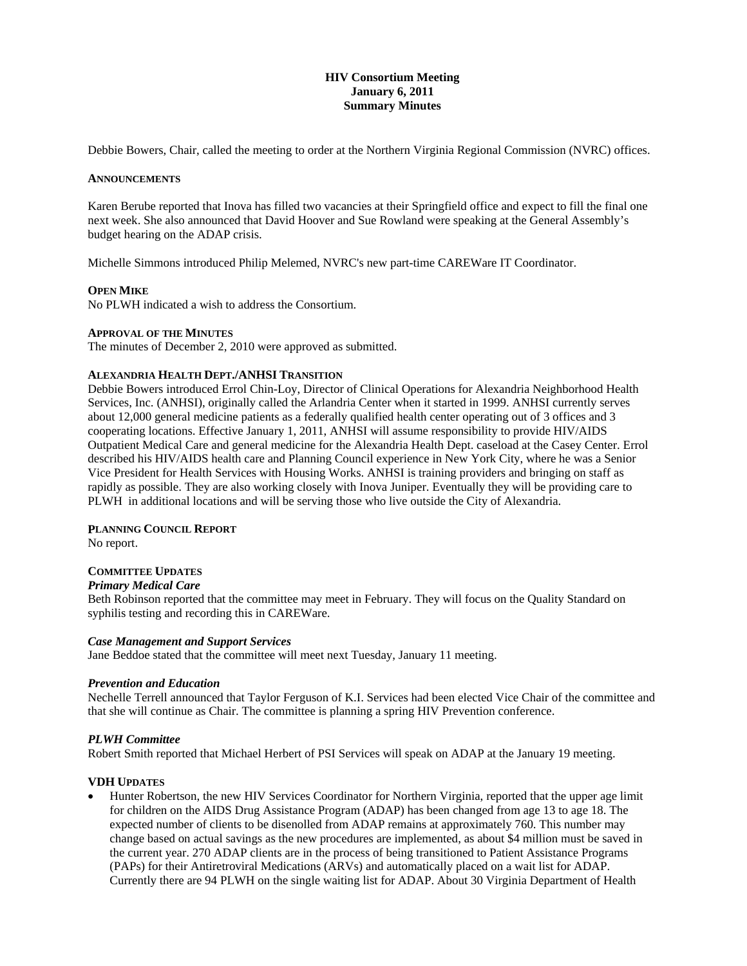# **HIV Consortium Meeting January 6, 2011 Summary Minutes**

Debbie Bowers, Chair, called the meeting to order at the Northern Virginia Regional Commission (NVRC) offices.

### **ANNOUNCEMENTS**

Karen Berube reported that Inova has filled two vacancies at their Springfield office and expect to fill the final one next week. She also announced that David Hoover and Sue Rowland were speaking at the General Assembly's budget hearing on the ADAP crisis.

Michelle Simmons introduced Philip Melemed, NVRC's new part-time CAREWare IT Coordinator.

## **OPEN MIKE**

No PLWH indicated a wish to address the Consortium.

## **APPROVAL OF THE MINUTES**

The minutes of December 2, 2010 were approved as submitted.

## **ALEXANDRIA HEALTH DEPT./ANHSI TRANSITION**

Debbie Bowers introduced Errol Chin-Loy, Director of Clinical Operations for Alexandria Neighborhood Health Services, Inc. (ANHSI), originally called the Arlandria Center when it started in 1999. ANHSI currently serves about 12,000 general medicine patients as a federally qualified health center operating out of 3 offices and 3 cooperating locations. Effective January 1, 2011, ANHSI will assume responsibility to provide HIV/AIDS Outpatient Medical Care and general medicine for the Alexandria Health Dept. caseload at the Casey Center. Errol described his HIV/AIDS health care and Planning Council experience in New York City, where he was a Senior Vice President for Health Services with Housing Works. ANHSI is training providers and bringing on staff as rapidly as possible. They are also working closely with Inova Juniper. Eventually they will be providing care to PLWH in additional locations and will be serving those who live outside the City of Alexandria.

#### **PLANNING COUNCIL REPORT**

No report.

# **COMMITTEE UPDATES**

# *Primary Medical Care*

Beth Robinson reported that the committee may meet in February. They will focus on the Quality Standard on syphilis testing and recording this in CAREWare.

#### *Case Management and Support Services*

Jane Beddoe stated that the committee will meet next Tuesday, January 11 meeting.

#### *Prevention and Education*

Nechelle Terrell announced that Taylor Ferguson of K.I. Services had been elected Vice Chair of the committee and that she will continue as Chair. The committee is planning a spring HIV Prevention conference.

#### *PLWH Committee*

Robert Smith reported that Michael Herbert of PSI Services will speak on ADAP at the January 19 meeting.

## **VDH UPDATES**

 Hunter Robertson, the new HIV Services Coordinator for Northern Virginia, reported that the upper age limit for children on the AIDS Drug Assistance Program (ADAP) has been changed from age 13 to age 18. The expected number of clients to be disenolled from ADAP remains at approximately 760. This number may change based on actual savings as the new procedures are implemented, as about \$4 million must be saved in the current year. 270 ADAP clients are in the process of being transitioned to Patient Assistance Programs (PAPs) for their Antiretroviral Medications (ARVs) and automatically placed on a wait list for ADAP. Currently there are 94 PLWH on the single waiting list for ADAP. About 30 Virginia Department of Health